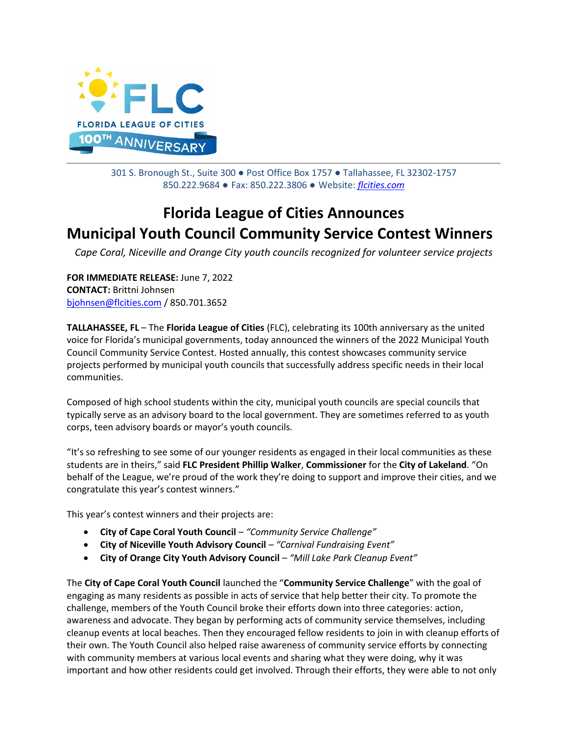

301 S. Bronough St., Suite 300 ● Post Office Box 1757 ● Tallahassee, FL 32302-1757 850.222.9684 ● Fax: 850.222.3806 ● Website: *[flcities.com](http://www.flcities.com/)*

## **Florida League of Cities Announces Municipal Youth Council Community Service Contest Winners**

*Cape Coral, Niceville and Orange City youth councils recognized for volunteer service projects*

**FOR IMMEDIATE RELEASE:** June 7, 2022 **CONTACT:** Brittni Johnsen [bjohnsen@flcities.com](mailto:bjohnsen@flcities.com) / 850.701.3652

**TALLAHASSEE, FL** – The **Florida League of Cities** (FLC), celebrating its 100th anniversary as the united voice for Florida's municipal governments, today announced the winners of the 2022 Municipal Youth Council Community Service Contest. Hosted annually, this contest showcases community service projects performed by municipal youth councils that successfully address specific needs in their local communities.

Composed of high school students within the city, municipal youth councils are special councils that typically serve as an advisory board to the local government. They are sometimes referred to as youth corps, teen advisory boards or mayor's youth councils.

"It's so refreshing to see some of our younger residents as engaged in their local communities as these students are in theirs," said **FLC President Phillip Walker**, **Commissioner** for the **City of Lakeland**. "On behalf of the League, we're proud of the work they're doing to support and improve their cities, and we congratulate this year's contest winners."

This year's contest winners and their projects are:

- **City of Cape Coral Youth Council** *"Community Service Challenge"*
- **City of Niceville Youth Advisory Council** *"Carnival Fundraising Event"*
- **City of Orange City Youth Advisory Council** *"Mill Lake Park Cleanup Event"*

The **City of Cape Coral Youth Council** launched the "**Community Service Challenge**" with the goal of engaging as many residents as possible in acts of service that help better their city. To promote the challenge, members of the Youth Council broke their efforts down into three categories: action, awareness and advocate. They began by performing acts of community service themselves, including cleanup events at local beaches. Then they encouraged fellow residents to join in with cleanup efforts of their own. The Youth Council also helped raise awareness of community service efforts by connecting with community members at various local events and sharing what they were doing, why it was important and how other residents could get involved. Through their efforts, they were able to not only